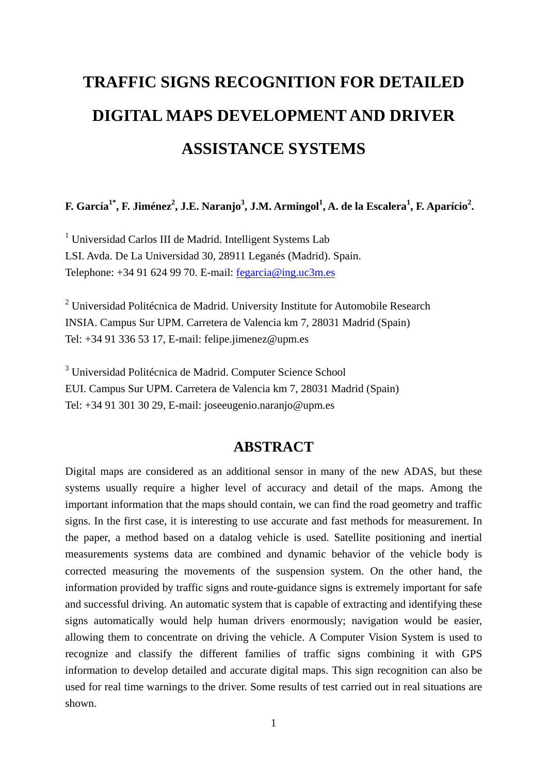# **TRAFFIC SIGNS RECOGNITION FOR DETAILED DIGITAL MAPS DEVELOPMENT AND DRIVER ASSISTANCE SYSTEMS**

### **F.** García $^{1^*}$ , F. Jiménez $^2$ , J.E. Naranjo $^3$ , J.M. Armingol $^1$ , A. de la Escalera $^1$ , F. Aparício $^2$ .

<sup>1</sup> Universidad Carlos III de Madrid. Intelligent Systems Lab LSI. Avda. De La Universidad 30, 28911 Leganés (Madrid). Spain. Telephone:  $+34916249970$ . E-mail: fegarcia@ing.uc3m.es

 $2$  Universidad Politécnica de Madrid. University Institute for Automobile Research INSIA. Campus Sur UPM. Carretera de Valencia km 7, 28031 Madrid (Spain) Tel: +34 91 336 53 17, E-mail: felipe.jimenez@upm.es

<sup>3</sup> Universidad Politécnica de Madrid. Computer Science School EUI. Campus Sur UPM. Carretera de Valencia km 7, 28031 Madrid (Spain) Tel: +34 91 301 30 29, E-mail: joseeugenio.naranjo@upm.es

#### **ABSTRACT**

Digital maps are considered as an additional sensor in many of the new ADAS, but these systems usually require a higher level of accuracy and detail of the maps. Among the important information that the maps should contain, we can find the road geometry and traffic signs. In the first case, it is interesting to use accurate and fast methods for measurement. In the paper, a method based on a datalog vehicle is used. Satellite positioning and inertial measurements systems data are combined and dynamic behavior of the vehicle body is corrected measuring the movements of the suspension system. On the other hand, the information provided by traffic signs and route-guidance signs is extremely important for safe and successful driving. An automatic system that is capable of extracting and identifying these signs automatically would help human drivers enormously; navigation would be easier, allowing them to concentrate on driving the vehicle. A Computer Vision System is used to recognize and classify the different families of traffic signs combining it with GPS information to develop detailed and accurate digital maps. This sign recognition can also be used for real time warnings to the driver. Some results of test carried out in real situations are shown.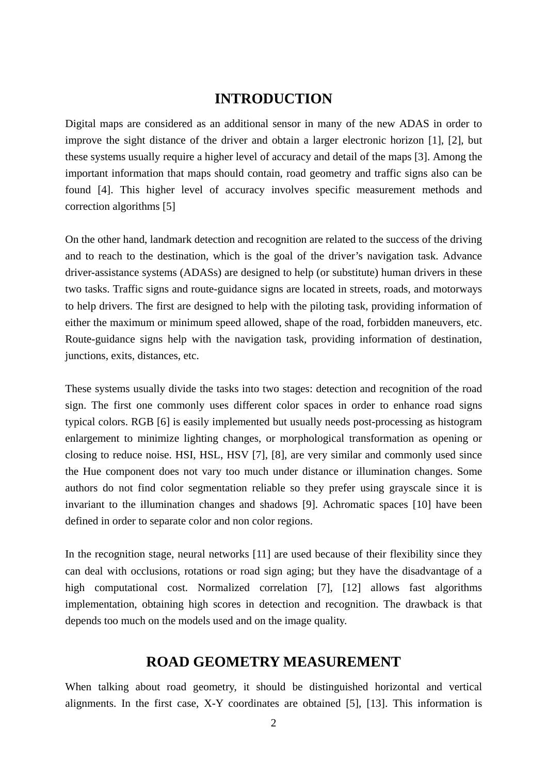### **INTRODUCTION**

Digital maps are considered as an additional sensor in many of the new ADAS in order to improve the sight distance of the driver and obtain a larger electronic horizon [1], [2], but these systems usually require a higher level of accuracy and detail of the maps [3]. Among the important information that maps should contain, road geometry and traffic signs also can be found [4]. This higher level of accuracy involves specific measurement methods and correction algorithms [5]

On the other hand, landmark detection and recognition are related to the success of the driving and to reach to the destination, which is the goal of the driver's navigation task. Advance driver-assistance systems (ADASs) are designed to help (or substitute) human drivers in these two tasks. Traffic signs and route-guidance signs are located in streets, roads, and motorways to help drivers. The first are designed to help with the piloting task, providing information of either the maximum or minimum speed allowed, shape of the road, forbidden maneuvers, etc. Route-guidance signs help with the navigation task, providing information of destination, junctions, exits, distances, etc.

These systems usually divide the tasks into two stages: detection and recognition of the road sign. The first one commonly uses different color spaces in order to enhance road signs typical colors. RGB [6] is easily implemented but usually needs post-processing as histogram enlargement to minimize lighting changes, or morphological transformation as opening or closing to reduce noise. HSI, HSL, HSV [7], [8], are very similar and commonly used since the Hue component does not vary too much under distance or illumination changes. Some authors do not find color segmentation reliable so they prefer using grayscale since it is invariant to the illumination changes and shadows [9]. Achromatic spaces [10] have been defined in order to separate color and non color regions.

In the recognition stage, neural networks [11] are used because of their flexibility since they can deal with occlusions, rotations or road sign aging; but they have the disadvantage of a high computational cost. Normalized correlation [7], [12] allows fast algorithms implementation, obtaining high scores in detection and recognition. The drawback is that depends too much on the models used and on the image quality.

#### **ROAD GEOMETRY MEASUREMENT**

When talking about road geometry, it should be distinguished horizontal and vertical alignments. In the first case, X-Y coordinates are obtained [5], [13]. This information is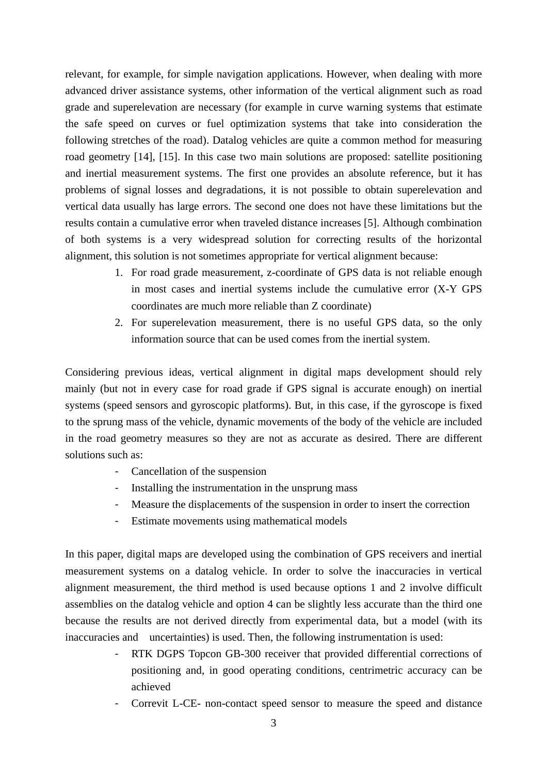relevant, for example, for simple navigation applications. However, when dealing with more advanced driver assistance systems, other information of the vertical alignment such as road grade and superelevation are necessary (for example in curve warning systems that estimate the safe speed on curves or fuel optimization systems that take into consideration the following stretches of the road). Datalog vehicles are quite a common method for measuring road geometry [14], [15]. In this case two main solutions are proposed: satellite positioning and inertial measurement systems. The first one provides an absolute reference, but it has problems of signal losses and degradations, it is not possible to obtain superelevation and vertical data usually has large errors. The second one does not have these limitations but the results contain a cumulative error when traveled distance increases [5]. Although combination of both systems is a very widespread solution for correcting results of the horizontal alignment, this solution is not sometimes appropriate for vertical alignment because:

- 1. For road grade measurement, z-coordinate of GPS data is not reliable enough in most cases and inertial systems include the cumulative error (X-Y GPS coordinates are much more reliable than Z coordinate)
- 2. For superelevation measurement, there is no useful GPS data, so the only information source that can be used comes from the inertial system.

Considering previous ideas, vertical alignment in digital maps development should rely mainly (but not in every case for road grade if GPS signal is accurate enough) on inertial systems (speed sensors and gyroscopic platforms). But, in this case, if the gyroscope is fixed to the sprung mass of the vehicle, dynamic movements of the body of the vehicle are included in the road geometry measures so they are not as accurate as desired. There are different solutions such as:

- Cancellation of the suspension
- Installing the instrumentation in the unsprung mass
- Measure the displacements of the suspension in order to insert the correction
- Estimate movements using mathematical models

In this paper, digital maps are developed using the combination of GPS receivers and inertial measurement systems on a datalog vehicle. In order to solve the inaccuracies in vertical alignment measurement, the third method is used because options 1 and 2 involve difficult assemblies on the datalog vehicle and option 4 can be slightly less accurate than the third one because the results are not derived directly from experimental data, but a model (with its inaccuracies and uncertainties) is used. Then, the following instrumentation is used:

- RTK DGPS Topcon GB-300 receiver that provided differential corrections of positioning and, in good operating conditions, centrimetric accuracy can be achieved
- Correvit L-CE- non-contact speed sensor to measure the speed and distance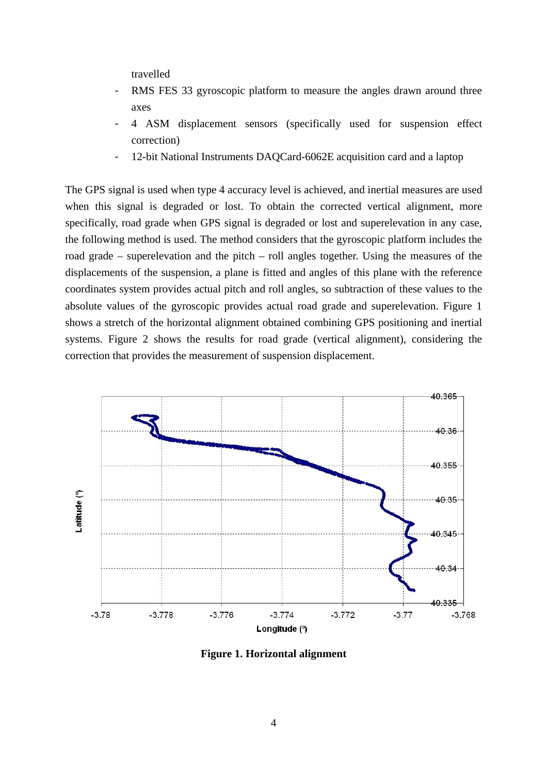travelled

- RMS FES 33 gyroscopic platform to measure the angles drawn around three axes
- 4 ASM displacement sensors (specifically used for suspension effect correction)
- 12-bit National Instruments DAQCard-6062E acquisition card and a laptop

The GPS signal is used when type 4 accuracy level is achieved, and inertial measures are used when this signal is degraded or lost. To obtain the corrected vertical alignment, more specifically, road grade when GPS signal is degraded or lost and superelevation in any case, the following method is used. The method considers that the gyroscopic platform includes the road grade – superelevation and the pitch – roll angles together. Using the measures of the displacements of the suspension, a plane is fitted and angles of this plane with the reference coordinates system provides actual pitch and roll angles, so subtraction of these values to the absolute values of the gyroscopic provides actual road grade and superelevation. Figure 1 shows a stretch of the horizontal alignment obtained combining GPS positioning and inertial systems. Figure 2 shows the results for road grade (vertical alignment), considering the correction that provides the measurement of suspension displacement.



**Figure 1. Horizontal alignment**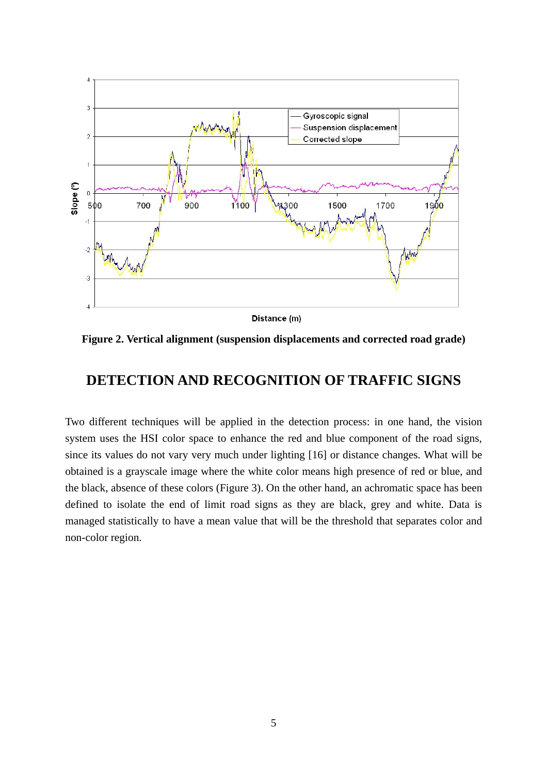

Distance (m)

**Figure 2. Vertical alignment (suspension displacements and corrected road grade)** 

## **DETECTION AND RECOGNITION OF TRAFFIC SIGNS**

Two different techniques will be applied in the detection process: in one hand, the vision system uses the HSI color space to enhance the red and blue component of the road signs, since its values do not vary very much under lighting [16] or distance changes. What will be obtained is a grayscale image where the white color means high presence of red or blue, and the black, absence of these colors (Figure 3). On the other hand, an achromatic space has been defined to isolate the end of limit road signs as they are black, grey and white. Data is managed statistically to have a mean value that will be the threshold that separates color and non-color region.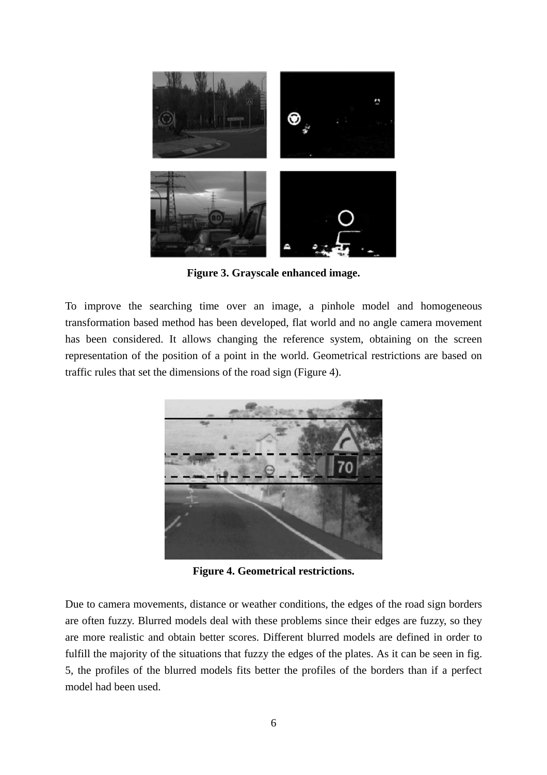

**Figure 3. Grayscale enhanced image.** 

To improve the searching time over an image, a pinhole model and homogeneous transformation based method has been developed, flat world and no angle camera movement has been considered. It allows changing the reference system, obtaining on the screen representation of the position of a point in the world. Geometrical restrictions are based on traffic rules that set the dimensions of the road sign (Figure 4).



**Figure 4. Geometrical restrictions.** 

Due to camera movements, distance or weather conditions, the edges of the road sign borders are often fuzzy. Blurred models deal with these problems since their edges are fuzzy, so they are more realistic and obtain better scores. Different blurred models are defined in order to fulfill the majority of the situations that fuzzy the edges of the plates. As it can be seen in fig. 5, the profiles of the blurred models fits better the profiles of the borders than if a perfect model had been used.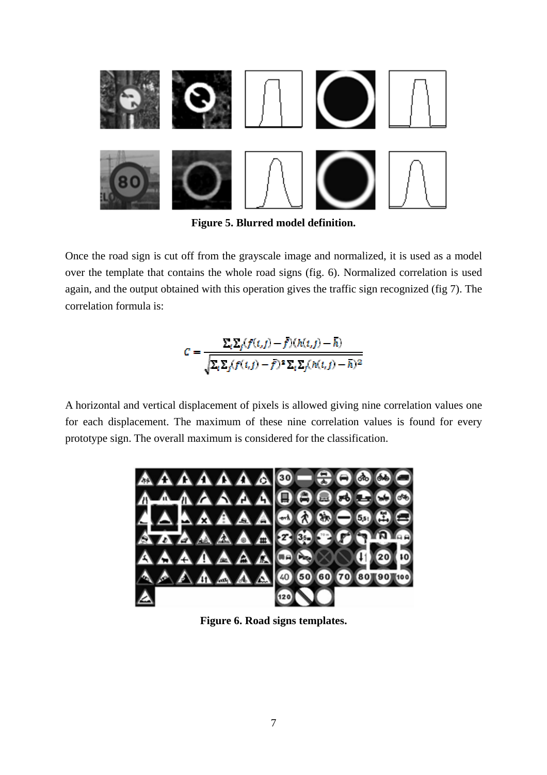

**Figure 5. Blurred model definition.** 

Once the road sign is cut off from the grayscale image and normalized, it is used as a model over the template that contains the whole road signs (fig. 6). Normalized correlation is used again, and the output obtained with this operation gives the traffic sign recognized (fig 7). The correlation formula is:

$$
C = \frac{\Sigma_i \Sigma_j (f(t,j) - \bar{f})(h(t,j) - \bar{h})}{\sqrt{\Sigma_i \Sigma_j (f(t,j) - \bar{f})^2 \Sigma_i \Sigma_j (h(t,j) - \bar{h})^2}}
$$

A horizontal and vertical displacement of pixels is allowed giving nine correlation values one for each displacement. The maximum of these nine correlation values is found for every prototype sign. The overall maximum is considered for the classification.



**Figure 6. Road signs templates.**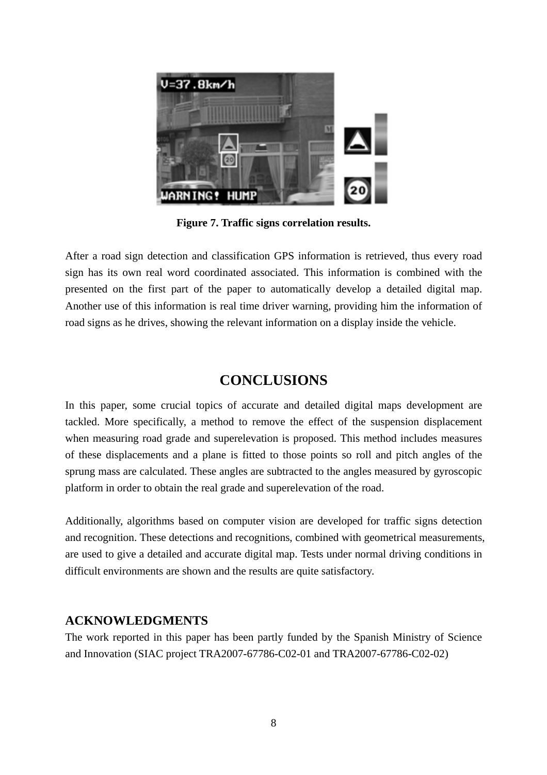

**Figure 7. Traffic signs correlation results.** 

After a road sign detection and classification GPS information is retrieved, thus every road sign has its own real word coordinated associated. This information is combined with the presented on the first part of the paper to automatically develop a detailed digital map. Another use of this information is real time driver warning, providing him the information of road signs as he drives, showing the relevant information on a display inside the vehicle.

## **CONCLUSIONS**

In this paper, some crucial topics of accurate and detailed digital maps development are tackled. More specifically, a method to remove the effect of the suspension displacement when measuring road grade and superelevation is proposed. This method includes measures of these displacements and a plane is fitted to those points so roll and pitch angles of the sprung mass are calculated. These angles are subtracted to the angles measured by gyroscopic platform in order to obtain the real grade and superelevation of the road.

Additionally, algorithms based on computer vision are developed for traffic signs detection and recognition. These detections and recognitions, combined with geometrical measurements, are used to give a detailed and accurate digital map. Tests under normal driving conditions in difficult environments are shown and the results are quite satisfactory.

#### **ACKNOWLEDGMENTS**

The work reported in this paper has been partly funded by the Spanish Ministry of Science and Innovation (SIAC project TRA2007-67786-C02-01 and TRA2007-67786-C02-02)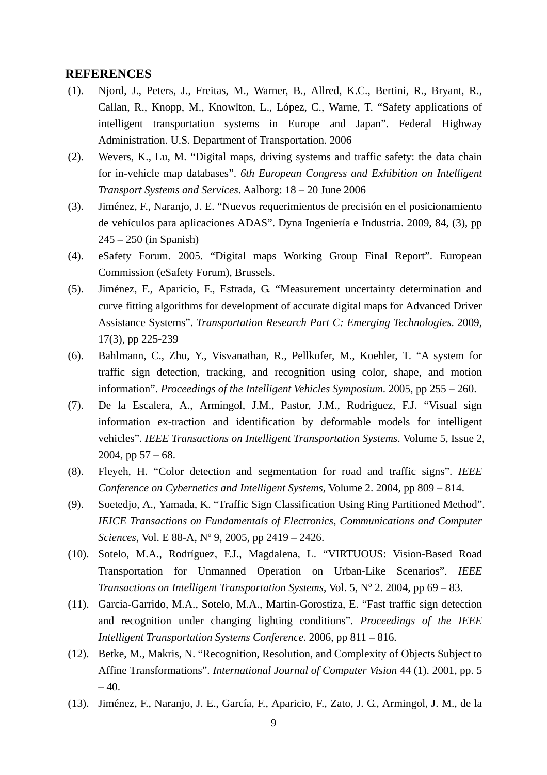#### **REFERENCES**

- (1). Njord, J., Peters, J., Freitas, M., Warner, B., Allred, K.C., Bertini, R., Bryant, R., Callan, R., Knopp, M., Knowlton, L., López, C., Warne, T. "Safety applications of intelligent transportation systems in Europe and Japan". Federal Highway Administration. U.S. Department of Transportation. 2006
- (2). Wevers, K., Lu, M. "Digital maps, driving systems and traffic safety: the data chain for in-vehicle map databases". *6th European Congress and Exhibition on Intelligent Transport Systems and Services*. Aalborg: 18 – 20 June 2006
- (3). Jiménez, F., Naranjo, J. E. "Nuevos requerimientos de precisión en el posicionamiento de vehículos para aplicaciones ADAS". Dyna Ingeniería e Industria. 2009, 84, (3), pp 245 – 250 (in Spanish)
- (4). eSafety Forum. 2005. "Digital maps Working Group Final Report". European Commission (eSafety Forum), Brussels.
- (5). Jiménez, F., Aparicio, F., Estrada, G. "Measurement uncertainty determination and curve fitting algorithms for development of accurate digital maps for Advanced Driver Assistance Systems". *Transportation Research Part C: Emerging Technologies*. 2009, 17(3), pp 225-239
- (6). Bahlmann, C., Zhu, Y., Visvanathan, R., Pellkofer, M., Koehler, T. "A system for traffic sign detection, tracking, and recognition using color, shape, and motion information". *Proceedings of the Intelligent Vehicles Symposium*. 2005, pp 255 – 260.
- (7). De la Escalera, A., Armingol, J.M., Pastor, J.M., Rodriguez, F.J. "Visual sign information ex-traction and identification by deformable models for intelligent vehicles". *IEEE Transactions on Intelligent Transportation Systems*. Volume 5, Issue 2, 2004, pp  $57 - 68$ .
- (8). Fleyeh, H. "Color detection and segmentation for road and traffic signs". *IEEE Conference on Cybernetics and Intelligent Systems*, Volume 2. 2004, pp 809 – 814.
- (9). Soetedjo, A., Yamada, K. "Traffic Sign Classification Using Ring Partitioned Method". *IEICE Transactions on Fundamentals of Electronics, Communications and Computer Sciences*, Vol. E 88-A, Nº 9, 2005, pp 2419 – 2426.
- (10). Sotelo, M.A., Rodríguez, F.J., Magdalena, L. "VIRTUOUS: Vision-Based Road Transportation for Unmanned Operation on Urban-Like Scenarios". *IEEE Transactions on Intelligent Transportation Systems*, Vol. 5, Nº 2. 2004, pp 69 – 83.
- (11). Garcia-Garrido, M.A., Sotelo, M.A., Martin-Gorostiza, E. "Fast traffic sign detection and recognition under changing lighting conditions". *Proceedings of the IEEE Intelligent Transportation Systems Conference.* 2006, pp 811 – 816.
- (12). Betke, M., Makris, N. "Recognition, Resolution, and Complexity of Objects Subject to Affine Transformations". *International Journal of Computer Vision* 44 (1). 2001, pp. 5  $-40.$
- (13). Jiménez, F., Naranjo, J. E., García, F., Aparicio, F., Zato, J. G., Armingol, J. M., de la